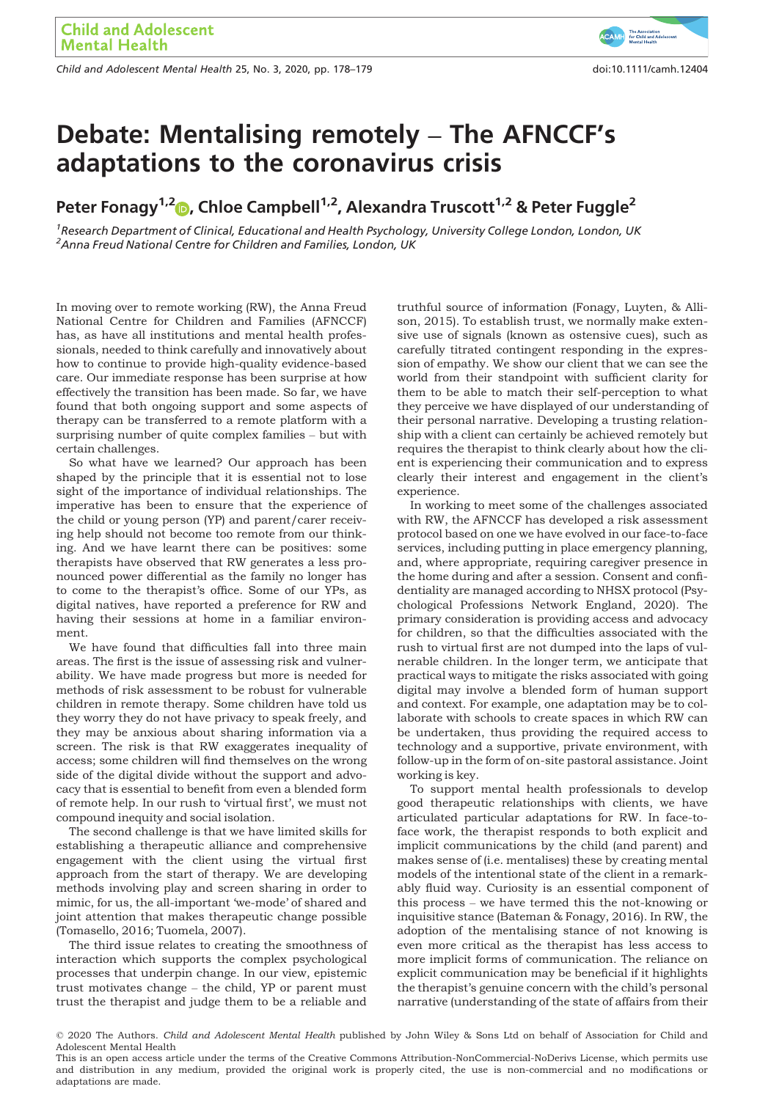Child and Adolescent Mental Health 25, No. 3, 2020, pp. 178–179 doi:10.1111/camh.12404

# Debate: Mentalising remotely – The AFNCCF's adaptations to the coronavirus crisis

Peter Fonagy<sup>1,2</sup>  $\odot$ , Chloe Campbell<sup>1,2</sup>, Alexandra Truscott<sup>1,2</sup> & Peter Fuggle<sup>2</sup>

<sup>1</sup> Research Department of Clinical, Educational and Health Psychology, University College London, London, UK <sup>2</sup> Anna Freud National Centre for Children and Families, London, UK

In moving over to remote working (RW), the Anna Freud National Centre for Children and Families (AFNCCF) has, as have all institutions and mental health professionals, needed to think carefully and innovatively about how to continue to provide high-quality evidence-based care. Our immediate response has been surprise at how effectively the transition has been made. So far, we have found that both ongoing support and some aspects of therapy can be transferred to a remote platform with a surprising number of quite complex families – but with certain challenges.

So what have we learned? Our approach has been shaped by the principle that it is essential not to lose sight of the importance of individual relationships. The imperative has been to ensure that the experience of the child or young person (YP) and parent/carer receiving help should not become too remote from our thinking. And we have learnt there can be positives: some therapists have observed that RW generates a less pronounced power differential as the family no longer has to come to the therapist's office. Some of our YPs, as digital natives, have reported a preference for RW and having their sessions at home in a familiar environment.

We have found that difficulties fall into three main areas. The first is the issue of assessing risk and vulnerability. We have made progress but more is needed for methods of risk assessment to be robust for vulnerable children in remote therapy. Some children have told us they worry they do not have privacy to speak freely, and they may be anxious about sharing information via a screen. The risk is that RW exaggerates inequality of access; some children will find themselves on the wrong side of the digital divide without the support and advocacy that is essential to benefit from even a blended form of remote help. In our rush to 'virtual first', we must not compound inequity and social isolation.

The second challenge is that we have limited skills for establishing a therapeutic alliance and comprehensive engagement with the client using the virtual first approach from the start of therapy. We are developing methods involving play and screen sharing in order to mimic, for us, the all-important 'we-mode' of shared and joint attention that makes therapeutic change possible (Tomasello, 2016; Tuomela, 2007).

The third issue relates to creating the smoothness of interaction which supports the complex psychological processes that underpin change. In our view, epistemic trust motivates change – the child, YP or parent must trust the therapist and judge them to be a reliable and truthful source of information (Fonagy, Luyten, & Allison, 2015). To establish trust, we normally make extensive use of signals (known as ostensive cues), such as carefully titrated contingent responding in the expression of empathy. We show our client that we can see the world from their standpoint with sufficient clarity for them to be able to match their self-perception to what they perceive we have displayed of our understanding of their personal narrative. Developing a trusting relationship with a client can certainly be achieved remotely but requires the therapist to think clearly about how the client is experiencing their communication and to express clearly their interest and engagement in the client's experience.

In working to meet some of the challenges associated with RW, the AFNCCF has developed a risk assessment protocol based on one we have evolved in our face-to-face services, including putting in place emergency planning, and, where appropriate, requiring caregiver presence in the home during and after a session. Consent and confidentiality are managed according to NHSX protocol (Psychological Professions Network England, 2020). The primary consideration is providing access and advocacy for children, so that the difficulties associated with the rush to virtual first are not dumped into the laps of vulnerable children. In the longer term, we anticipate that practical ways to mitigate the risks associated with going digital may involve a blended form of human support and context. For example, one adaptation may be to collaborate with schools to create spaces in which RW can be undertaken, thus providing the required access to technology and a supportive, private environment, with follow-up in the form of on-site pastoral assistance. Joint working is key.

To support mental health professionals to develop good therapeutic relationships with clients, we have articulated particular adaptations for RW. In face-toface work, the therapist responds to both explicit and implicit communications by the child (and parent) and makes sense of (i.e. mentalises) these by creating mental models of the intentional state of the client in a remarkably fluid way. Curiosity is an essential component of this process – we have termed this the not-knowing or inquisitive stance (Bateman & Fonagy, 2016). In RW, the adoption of the mentalising stance of not knowing is even more critical as the therapist has less access to more implicit forms of communication. The reliance on explicit communication may be beneficial if it highlights the therapist's genuine concern with the child's personal narrative (understanding of the state of affairs from their

# For Child and A

<sup>© 2020</sup> The Authors. Child and Adolescent Mental Health published by John Wiley & Sons Ltd on behalf of Association for Child and Adolescent Mental Health

This is an open access article under the terms of the [Creative Commons Attribution](http://creativecommons.org/licenses/by-nc-nd/4.0/)‐NonCommercial‐NoDerivs License, which permits use and distribution in any medium, provided the original work is properly cited, the use is non‐commercial and no modifications or adaptations are made.